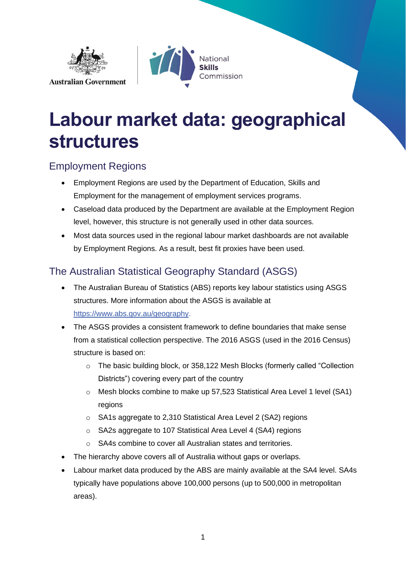



# **Labour market data: geographical structures**

#### Employment Regions

- Employment Regions are used by the Department of Education, Skills and Employment for the management of employment services programs.
- Caseload data produced by the Department are available at the Employment Region level, however, this structure is not generally used in other data sources.
- Most data sources used in the regional labour market dashboards are not available by Employment Regions. As a result, best fit proxies have been used.

#### The Australian Statistical Geography Standard (ASGS)

- The Australian Bureau of Statistics (ABS) reports key labour statistics using ASGS structures. More information about the ASGS is available at [https://www.abs.gov.au/geography.](https://www.abs.gov.au/geography)
- The ASGS provides a consistent framework to define boundaries that make sense from a statistical collection perspective. The 2016 ASGS (used in the 2016 Census) structure is based on:
	- o The basic building block, or 358,122 Mesh Blocks (formerly called "Collection Districts") covering every part of the country
	- o Mesh blocks combine to make up 57,523 Statistical Area Level 1 level (SA1) regions
	- o SA1s aggregate to 2,310 Statistical Area Level 2 (SA2) regions
	- o SA2s aggregate to 107 Statistical Area Level 4 (SA4) regions
	- o SA4s combine to cover all Australian states and territories.
- The hierarchy above covers all of Australia without gaps or overlaps.
- Labour market data produced by the ABS are mainly available at the SA4 level. SA4s typically have populations above 100,000 persons (up to 500,000 in metropolitan areas).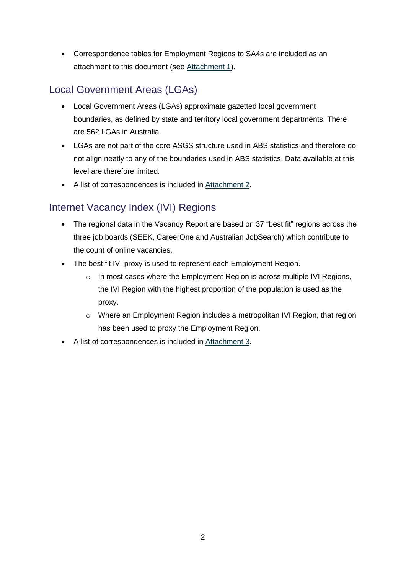• Correspondence tables for Employment Regions to SA4s are included as an attachment to this document (see [Attachment 1\)](#page-2-0).

#### Local Government Areas (LGAs)

- Local Government Areas (LGAs) approximate gazetted local government boundaries, as defined by state and territory local government departments. There are 562 LGAs in Australia.
- LGAs are not part of the core ASGS structure used in ABS statistics and therefore do not align neatly to any of the boundaries used in ABS statistics. Data available at this level are therefore limited.
- A list of correspondences is included in [Attachment 2.](#page-6-0)

#### Internet Vacancy Index (IVI) Regions

- The regional data in the Vacancy Report are based on 37 "best fit" regions across the three job boards (SEEK, CareerOne and Australian JobSearch) which contribute to the count of online vacancies.
- The best fit IVI proxy is used to represent each Employment Region.
	- o In most cases where the Employment Region is across multiple IVI Regions, the IVI Region with the highest proportion of the population is used as the proxy.
	- o Where an Employment Region includes a metropolitan IVI Region, that region has been used to proxy the Employment Region.
- A list of correspondences is included in [Attachment 3.](#page-14-0)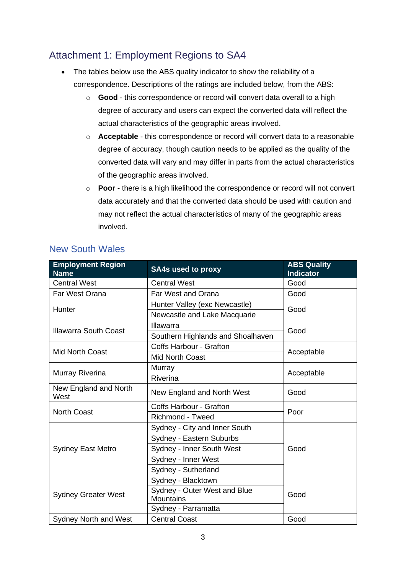#### <span id="page-2-0"></span>Attachment 1: Employment Regions to SA4

- The tables below use the ABS quality indicator to show the reliability of a correspondence. Descriptions of the ratings are included below, from the ABS:
	- o **Good** this correspondence or record will convert data overall to a high degree of accuracy and users can expect the converted data will reflect the actual characteristics of the geographic areas involved.
	- o **Acceptable** this correspondence or record will convert data to a reasonable degree of accuracy, though caution needs to be applied as the quality of the converted data will vary and may differ in parts from the actual characteristics of the geographic areas involved.
	- o **Poor**  there is a high likelihood the correspondence or record will not convert data accurately and that the converted data should be used with caution and may not reflect the actual characteristics of many of the geographic areas involved.

| <b>Employment Region</b><br><b>Name</b> | <b>SA4s used to proxy</b>                        | <b>ABS Quality</b><br><b>Indicator</b> |  |
|-----------------------------------------|--------------------------------------------------|----------------------------------------|--|
| <b>Central West</b>                     | <b>Central West</b>                              | Good                                   |  |
| Far West Orana                          | Far West and Orana                               | Good                                   |  |
| Hunter                                  | Hunter Valley (exc Newcastle)                    | Good                                   |  |
|                                         | Newcastle and Lake Macquarie                     |                                        |  |
| <b>Illawarra South Coast</b>            | Illawarra                                        | Good                                   |  |
|                                         | Southern Highlands and Shoalhaven                |                                        |  |
| <b>Mid North Coast</b>                  | <b>Coffs Harbour - Grafton</b>                   | Acceptable                             |  |
|                                         | <b>Mid North Coast</b>                           |                                        |  |
| Murray Riverina                         | Murray                                           |                                        |  |
|                                         | Riverina                                         | Acceptable                             |  |
| New England and North<br>West           | New England and North West                       | Good                                   |  |
| <b>North Coast</b>                      | <b>Coffs Harbour - Grafton</b>                   | Poor                                   |  |
|                                         | <b>Richmond - Tweed</b>                          |                                        |  |
|                                         | Sydney - City and Inner South                    |                                        |  |
|                                         | Sydney - Eastern Suburbs                         | Good                                   |  |
| <b>Sydney East Metro</b>                | Sydney - Inner South West                        |                                        |  |
|                                         | Sydney - Inner West                              |                                        |  |
|                                         | Sydney - Sutherland                              |                                        |  |
|                                         | Sydney - Blacktown                               |                                        |  |
| <b>Sydney Greater West</b>              | Sydney - Outer West and Blue<br><b>Mountains</b> | Good                                   |  |
|                                         | Sydney - Parramatta                              |                                        |  |
| Sydney North and West                   | <b>Central Coast</b>                             | Good                                   |  |

#### New South Wales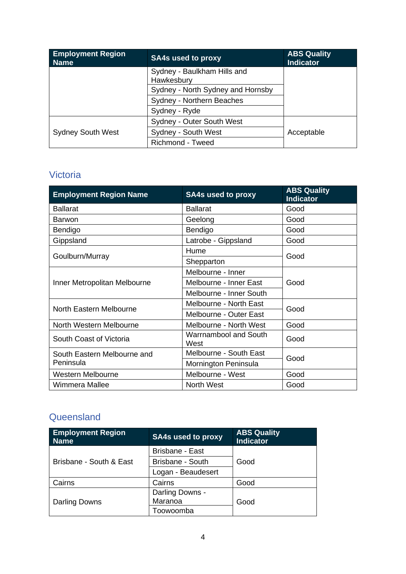| <b>Employment Region</b><br><b>Name</b> | <b>SA4s used to proxy</b>                 | <b>ABS Quality</b><br><b>Indicator</b> |
|-----------------------------------------|-------------------------------------------|----------------------------------------|
|                                         | Sydney - Baulkham Hills and<br>Hawkesbury |                                        |
|                                         | Sydney - North Sydney and Hornsby         |                                        |
|                                         | Sydney - Northern Beaches                 |                                        |
|                                         | Sydney - Ryde                             |                                        |
|                                         | Sydney - Outer South West                 |                                        |
| <b>Sydney South West</b>                | Sydney - South West                       | Acceptable                             |
|                                         | <b>Richmond - Tweed</b>                   |                                        |

#### Victoria

| <b>Employment Region Name</b> | <b>SA4s used to proxy</b>            | <b>ABS Quality</b><br><b>Indicator</b> |  |
|-------------------------------|--------------------------------------|----------------------------------------|--|
| <b>Ballarat</b>               | <b>Ballarat</b>                      | Good                                   |  |
| <b>Barwon</b>                 | Geelong                              | Good                                   |  |
| Bendigo                       | Bendigo                              | Good                                   |  |
| Gippsland                     | Latrobe - Gippsland                  | Good                                   |  |
|                               | Hume                                 | Good                                   |  |
| Goulburn/Murray               | Shepparton                           |                                        |  |
|                               | Melbourne - Inner                    |                                        |  |
| Inner Metropolitan Melbourne  | Melbourne - Inner East               | Good                                   |  |
|                               | Melbourne - Inner South              |                                        |  |
|                               | Melbourne - North East               | Good                                   |  |
| North Eastern Melbourne       | Melbourne - Outer East               |                                        |  |
| North Western Melbourne       | Melbourne - North West               | Good                                   |  |
| South Coast of Victoria       | <b>Warrnambool and South</b><br>West | Good                                   |  |
| South Eastern Melbourne and   | Melbourne - South East               |                                        |  |
| Peninsula                     | Mornington Peninsula                 | Good                                   |  |
| <b>Western Melbourne</b>      | Melbourne - West                     | Good                                   |  |
| Wimmera Mallee                | <b>North West</b>                    | Good                                   |  |

#### **Queensland**

| <b>Employment Region</b><br><b>Name</b> | <b>SA4s used to proxy</b> | <b>ABS Quality</b><br><b>Indicator</b> |
|-----------------------------------------|---------------------------|----------------------------------------|
|                                         | <b>Brisbane - East</b>    |                                        |
| Brisbane - South & East                 | <b>Brisbane - South</b>   | Good                                   |
|                                         | Logan - Beaudesert        |                                        |
| Cairns                                  | Cairns                    | Good                                   |
|                                         | Darling Downs -           |                                        |
| Darling Downs                           | Maranoa                   | Good                                   |
|                                         | Toowoomba                 |                                        |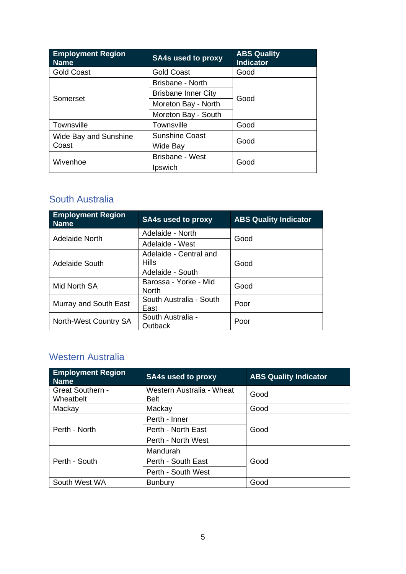| <b>Employment Region</b><br><b>Name</b> | <b>SA4s used to proxy</b>  | <b>ABS Quality</b><br><b>Indicator</b> |  |
|-----------------------------------------|----------------------------|----------------------------------------|--|
| <b>Gold Coast</b>                       | <b>Gold Coast</b>          | Good                                   |  |
|                                         | Brisbane - North           |                                        |  |
| Somerset                                | <b>Brisbane Inner City</b> | Good                                   |  |
|                                         | Moreton Bay - North        |                                        |  |
|                                         | Moreton Bay - South        |                                        |  |
| Townsville                              | <b>Townsville</b>          | Good                                   |  |
| Wide Bay and Sunshine                   | <b>Sunshine Coast</b>      | Good                                   |  |
| Coast                                   | Wide Bay                   |                                        |  |
|                                         | Brisbane - West            |                                        |  |
| Wivenhoe                                | Ipswich                    | Good                                   |  |

#### South Australia

| <b>Employment Region</b><br><b>Name</b> | <b>SA4s used to proxy</b>             | <b>ABS Quality Indicator</b> |
|-----------------------------------------|---------------------------------------|------------------------------|
| Adelaide North                          | Adelaide - North                      | Good                         |
|                                         | Adelaide - West                       |                              |
|                                         | Adelaide - Central and                |                              |
| Adelaide South                          | <b>Hills</b>                          | Good                         |
|                                         | Adelaide - South                      |                              |
| Mid North SA                            | Barossa - Yorke - Mid<br><b>North</b> | Good                         |
| Murray and South East                   | South Australia - South               | Poor                         |
|                                         | East                                  |                              |
| North-West Country SA                   | South Australia -                     | Poor                         |
|                                         | Outback                               |                              |

#### Western Australia

| <b>Employment Region</b><br><b>Name</b> | <b>SA4s used to proxy</b>                | <b>ABS Quality Indicator</b> |
|-----------------------------------------|------------------------------------------|------------------------------|
| <b>Great Southern -</b><br>Wheatbelt    | Western Australia - Wheat<br><b>Belt</b> | Good                         |
| Mackay                                  | Mackay                                   | Good                         |
|                                         | Perth - Inner                            |                              |
| Perth - North                           | Perth - North East                       | Good                         |
|                                         | Perth - North West                       |                              |
|                                         | Mandurah                                 |                              |
| Perth - South                           | Perth - South East                       | Good                         |
|                                         | Perth - South West                       |                              |
| South West WA                           | <b>Bunbury</b>                           | Good                         |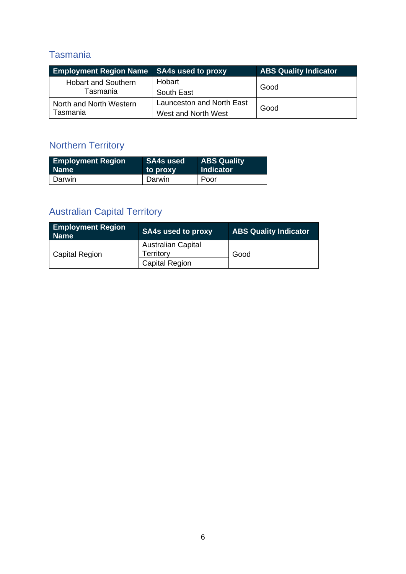#### Tasmania

| <b>Employment Region Name</b> SA4s used to proxy |                           | <b>ABS Quality Indicator</b> |
|--------------------------------------------------|---------------------------|------------------------------|
| <b>Hobart and Southern</b>                       | Hobart                    | Good                         |
| Tasmania                                         | South East                |                              |
| North and North Western                          | Launceston and North East |                              |
| Tasmania                                         | West and North West       | Good                         |

## Northern Territory

| <b>Employment Region</b> | <b>SA4s used</b> | <b>ABS Quality</b> |
|--------------------------|------------------|--------------------|
| <b>Name</b>              | to proxy         | <b>Indicator</b>   |
| Darwin                   | Darwin           | Poor               |

## Australian Capital Territory

| <b>Employment Region</b><br><b>Name</b> | <b>SA4s used to proxy</b>              | <b>ABS Quality Indicator</b> |
|-----------------------------------------|----------------------------------------|------------------------------|
| <b>Capital Region</b>                   | <b>Australian Capital</b><br>Territory | Good                         |
|                                         | <b>Capital Region</b>                  |                              |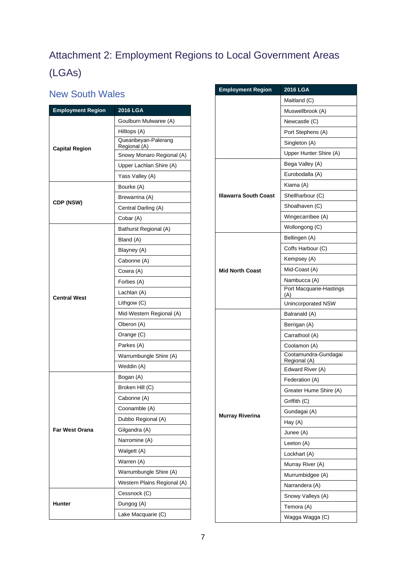# <span id="page-6-0"></span>Attachment 2: Employment Regions to Local Government Areas (LGAs)

#### New South Wales

| <b>Employment Region</b> | 2016 LGA                            |
|--------------------------|-------------------------------------|
|                          | Goulburn Mulwaree (A)               |
|                          | Hilltops (A)                        |
| <b>Capital Region</b>    | Queanbeyan-Palerang<br>Regional (A) |
|                          | Snowy Monaro Regional (A)           |
|                          | Upper Lachlan Shire (A)             |
|                          | Yass Valley (A)                     |
|                          | Bourke (A)                          |
|                          | Brewarrina (A)                      |
| CDP (NSW)                | Central Darling (A)                 |
|                          | Cobar (A)                           |
|                          | Bathurst Regional (A)               |
|                          | Bland (A)                           |
|                          | Blayney (A)                         |
|                          | Cabonne (A)                         |
|                          | Cowra (A)                           |
|                          | Forbes (A)                          |
|                          | Lachlan (A)                         |
| <b>Central West</b>      | Lithgow (C)                         |
|                          | Mid-Western Regional (A)            |
|                          | Oberon (A)                          |
|                          | Orange (C)                          |
|                          | Parkes (A)                          |
|                          | Warrumbungle Shire (A)              |
|                          | Weddin (A)                          |
|                          | Bogan (A)                           |
|                          | Broken Hill (C)                     |
|                          | Cabonne (A)                         |
|                          | Coonamble (A)                       |
|                          | Dubbo Regional (A)                  |
| <b>Far West Orana</b>    | Gilgandra (A)                       |
|                          | Narromine (A)                       |
|                          | Walgett (A)                         |
|                          | Warren (A)                          |
|                          | Warrumbungle Shire (A)              |
|                          | Western Plains Regional (A)         |
|                          | Cessnock (C)                        |
| Hunter                   | Dungog (A)                          |
|                          | Lake Macquarie (C)                  |

| <b>Employment Region</b> | 2016 LGA                             |  |
|--------------------------|--------------------------------------|--|
|                          | Maitland (C)                         |  |
|                          | Muswellbrook (A)                     |  |
|                          | Newcastle (C)                        |  |
|                          | Port Stephens (A)                    |  |
|                          | Singleton (A)                        |  |
|                          | Upper Hunter Shire (A)               |  |
|                          | Bega Valley (A)                      |  |
|                          | Eurobodalla (A)                      |  |
|                          | Kiama (A)                            |  |
| Illawarra South Coast    | Shellharbour (C)                     |  |
|                          | Shoalhaven (C)                       |  |
|                          | Wingecarribee (A)                    |  |
|                          | Wollongong (C)                       |  |
|                          | Bellingen (A)                        |  |
|                          | Coffs Harbour (C)                    |  |
|                          | Kempsey (A)                          |  |
| <b>Mid North Coast</b>   | Mid-Coast (A)                        |  |
|                          | Nambucca (A)                         |  |
|                          | Port Macquarie-Hastings<br>(A)       |  |
|                          | Unincorporated NSW                   |  |
|                          | Balranald (A)                        |  |
|                          | Berrigan (A)                         |  |
|                          | Carrathool (A)                       |  |
|                          | Coolamon (A)                         |  |
|                          | Cootamundra-Gundagai<br>Regional (A) |  |
|                          | Edward River (A)                     |  |
|                          | Federation (A)                       |  |
|                          | Greater Hume Shire (A)               |  |
|                          | Griffith (C)                         |  |
| <b>Murray Riverina</b>   | Gundagai (A)                         |  |
|                          | Hay (A)                              |  |
|                          | Junee (A)                            |  |
|                          | Leeton (A)                           |  |
|                          | Lockhart (A)                         |  |
|                          | Murray River (A)                     |  |
|                          | Murrumbidgee (A)                     |  |
|                          | Narrandera (A)                       |  |
|                          | Snowy Valleys (A)                    |  |
|                          | Temora (A)                           |  |
|                          | Wagga Wagga (C)                      |  |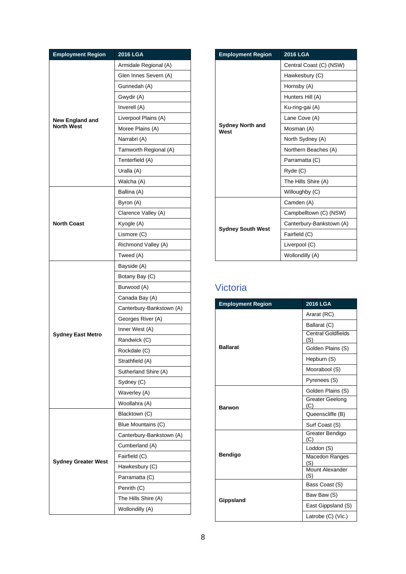| <b>Employment Region</b>                    | 2016 LGA                 |
|---------------------------------------------|--------------------------|
|                                             | Armidale Regional (A)    |
|                                             | Glen Innes Severn (A)    |
|                                             | Gunnedah (A)             |
|                                             | Gwydir (A)               |
| <b>New England and</b><br><b>North West</b> | Inverell (A)             |
|                                             | Liverpool Plains (A)     |
|                                             | Moree Plains (A)         |
|                                             | Narrabri (A)             |
|                                             | Tamworth Regional (A)    |
|                                             | Tenterfield (A)          |
|                                             | Uralla (A)               |
|                                             | Walcha (A)               |
|                                             | Ballina (A)              |
|                                             | Byron (A)                |
|                                             | Clarence Valley (A)      |
| <b>North Coast</b>                          | Kyogle (A)               |
|                                             | Lismore (C)              |
|                                             | Richmond Valley (A)      |
|                                             | Tweed (A)                |
|                                             | Bayside (A)              |
|                                             | Botany Bay (C)           |
|                                             | Burwood (A)              |
|                                             | Canada Bay (A)           |
|                                             | Canterbury-Bankstown (A) |
|                                             | Georges River (A)        |
|                                             | Inner West (A)           |
| <b>Sydney East Metro</b>                    | Randwick (C)             |
|                                             | Rockdale (C)             |
|                                             | Strathfield (A)          |
|                                             | Sutherland Shire (A)     |
|                                             | Sydney (C)               |
|                                             | Waverley (A)             |
|                                             | Woollahra (A)            |
|                                             | Blacktown (C)            |
|                                             | Blue Mountains (C)       |
|                                             | Canterbury-Bankstown (A) |
|                                             | Cumberland (A)           |
|                                             | Fairfield (C)            |
| <b>Sydney Greater West</b>                  | Hawkesbury (C)           |
|                                             | Parramatta (C)           |
|                                             | Penrith (C)              |
|                                             | The Hills Shire (A)      |
|                                             |                          |

| <b>Employment Region</b>        | <b>2016 LGA</b>          |
|---------------------------------|--------------------------|
| <b>Sydney North and</b><br>West | Central Coast (C) (NSW)  |
|                                 | Hawkesbury (C)           |
|                                 | Hornsby (A)              |
|                                 | Hunters Hill (A)         |
|                                 | Ku-ring-gai (A)          |
|                                 | Lane Cove (A)            |
|                                 | Mosman (A)               |
|                                 | North Sydney (A)         |
|                                 | Northern Beaches (A)     |
|                                 | Parramatta (C)           |
|                                 | Ryde (C)                 |
|                                 | The Hills Shire (A)      |
|                                 | Willoughby (C)           |
|                                 | Camden (A)               |
| <b>Sydney South West</b>        | Campbelltown (C) (NSW)   |
|                                 | Canterbury-Bankstown (A) |
|                                 | Fairfield (C)            |
|                                 | Liverpool (C)            |
|                                 | Wollondilly (A)          |

### Victoria

| <b>Employment Region</b> | <b>2016 LGA</b>                  |
|--------------------------|----------------------------------|
|                          | Ararat (RC)                      |
|                          | Ballarat (C)                     |
|                          | <b>Central Goldfields</b><br>(S) |
| <b>Ballarat</b>          | Golden Plains (S)                |
|                          | Hepburn (S)                      |
|                          | Moorabool (S)                    |
|                          | Pyrenees (S)                     |
|                          | Golden Plains (S)                |
| <b>Barwon</b>            | <b>Greater Geelong</b><br>(C)    |
|                          | Queenscliffe (B)                 |
|                          | Surf Coast (S)                   |
|                          | Greater Bendigo<br>(C)           |
|                          | Loddon (S)                       |
| <b>Bendigo</b>           | Macedon Ranges<br>(S)            |
|                          | Mount Alexander<br>(S)           |
|                          | Bass Coast (S)                   |
|                          | Baw Baw (S)                      |
| Gippsland                | East Gippsland (S)               |
|                          | Latrobe (C) (Vic.)               |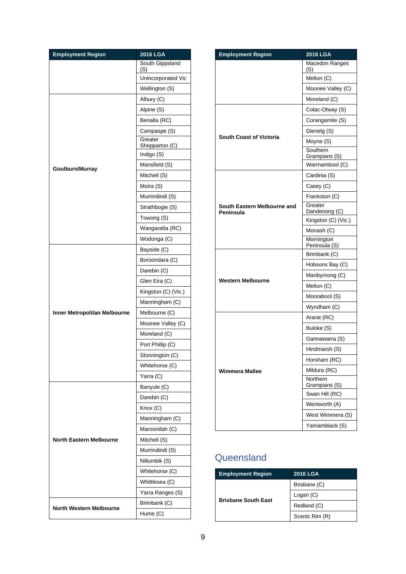| <b>Employment Region</b>       | 2016 LGA                  |
|--------------------------------|---------------------------|
|                                | South Gippsland<br>(S)    |
|                                | Unincorporated Vic        |
|                                | Wellington (S)            |
|                                | Albury (C)                |
|                                | Alpine (S)                |
|                                | Benalla (RC)              |
|                                | Campaspe (S)              |
|                                | Greater<br>Shepparton (C) |
|                                | Indigo (S)                |
|                                | Mansfield (S)             |
| Goulburn/Murray                | Mitchell (S)              |
|                                | Moira (S)                 |
|                                | Murrindindi (S)           |
|                                | Strathbogie (S)           |
|                                | Towong (S)                |
|                                | Wangaratta (RC)           |
|                                | Wodonga (C)               |
|                                | Bayside (C)               |
|                                | Boroondara (C)            |
|                                | Darebin (C)               |
|                                | Glen Eira (C)             |
|                                | Kingston (C) (Vic.)       |
|                                | Manningham (C)            |
| Inner Metropolitan Melbourne   | Melbourne (C)             |
|                                | Moonee Valley (C)         |
|                                | Moreland (C)              |
|                                | Port Phillip (C)          |
|                                | Stonnington (C)           |
|                                | Whitehorse (C)            |
|                                | Yarra (C)                 |
|                                | Banyule (C)               |
|                                | Darebin (C)               |
|                                | $K$ nox $(C)$             |
|                                | Manningham (C)            |
|                                | Maroondah (C)             |
| <b>North Eastern Melbourne</b> | Mitchell (S)              |
|                                | Murrindindi (S)           |
|                                | Nillumbik (S)             |
|                                | Whitehorse (C)            |
|                                | Whittlesea (C)            |
|                                | Yarra Ranges (S)          |
|                                | Brimbank (C)              |
| North Western Melbourne        | Hume (C)                  |

| <b>Employment Region</b>                 | 2016 LGA                    |
|------------------------------------------|-----------------------------|
|                                          | Macedon Ranges<br>(S)       |
|                                          | Melton (C)                  |
|                                          | Moonee Valley (C)           |
|                                          | Moreland (C)                |
|                                          | Colac-Otway (S)             |
|                                          | Corangamite (S)             |
|                                          | Glenelg (S)                 |
| <b>South Coast of Victoria</b>           | Moyne (S)                   |
|                                          | Southern<br>Grampians (S)   |
|                                          | Warrnambool (C)             |
|                                          | Cardinia (S)                |
|                                          | Casey (C)                   |
|                                          | Frankston (C)               |
| South Eastern Melbourne and<br>Peninsula | Greater<br>Dandenong (C)    |
|                                          | Kingston (C) (Vic.)         |
|                                          | Monash (C)                  |
|                                          | Mornington<br>Peninsula (S) |
|                                          | Brimbank (C)                |
|                                          | Hobsons Bay (C)             |
| Western Melbourne                        | Maribyrnong (C)             |
|                                          | Melton (C)                  |
|                                          | Moorabool (S)               |
|                                          | Wyndham (C)                 |
|                                          | Ararat (RC)                 |
|                                          | Buloke (S)                  |
|                                          | Gannawarra (S)              |
|                                          | Hindmarsh (S)               |
|                                          | Horsham (RC)                |
| <b>Wimmera Mallee</b>                    | Mildura (RC)                |
|                                          | Northern<br>Grampians (S)   |
|                                          | Swan Hill (RC)              |
|                                          | Wentworth (A)               |
|                                          | West Wimmera (S)            |
|                                          | Yarriambiack (S)            |

#### **Queensland**

| <b>Employment Region</b>   | <b>2016 LGA</b> |
|----------------------------|-----------------|
|                            | Brisbane (C)    |
| <b>Brisbane South East</b> | Logan $(C)$     |
|                            | Redland (C)     |
|                            | Scenic Rim (R)  |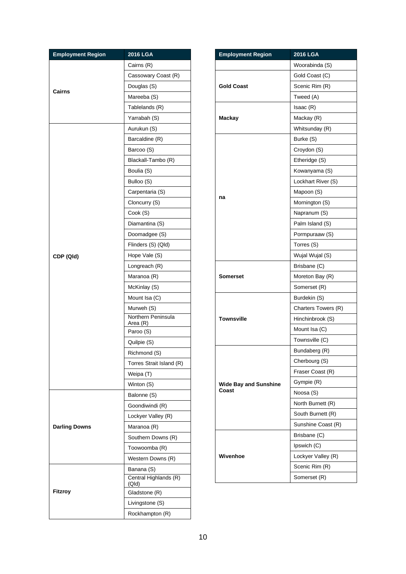| <b>Employment Region</b> | 2016 LGA                 |
|--------------------------|--------------------------|
|                          | Cairns (R)               |
|                          | Cassowary Coast (R)      |
|                          | Douglas (S)              |
| Cairns                   | Mareeba (S)              |
|                          | Tablelands (R)           |
|                          | Yarrabah (S)             |
|                          | Aurukun (S)              |
|                          | Barcaldine (R)           |
|                          | Barcoo (S)               |
|                          | Blackall-Tambo (R)       |
|                          | Boulia (S)               |
|                          | Bulloo (S)               |
|                          | Carpentaria (S)          |
|                          | Cloncurry (S)            |
|                          | Cook (S)                 |
|                          | Diamantina (S)           |
|                          | Doomadgee (S)            |
|                          | Flinders (S) (Qld)       |
| CDP (Qld)                | Hope Vale (S)            |
|                          | Longreach (R)            |
|                          | Maranoa (R)              |
|                          | McKinlay (S)             |
|                          | Mount Isa (C)            |
|                          | Murweh (S)               |
|                          | Northern Peninsula       |
|                          | Area (R)<br>Paroo (S)    |
|                          | Quilpie (S)              |
|                          | Richmond (S)             |
|                          | Torres Strait Island (R) |
|                          | Weipa (T)                |
|                          | Winton (S)               |
|                          | Balonne (S)              |
|                          | Goondiwindi (R)          |
|                          | Lockyer Valley (R)       |
| <b>Darling Downs</b>     | Maranoa (R)              |
|                          | Southern Downs (R)       |
|                          | Toowoomba (R)            |
|                          | Western Downs (R)        |
|                          | Banana (S)               |
|                          | Central Highlands (R)    |
| Fitzroy                  | (Qld)                    |
|                          | Gladstone (R)            |
|                          | Livingstone (S)          |
|                          | Rockhampton (R)          |

| <b>Employment Region</b>     | 2016 LGA            |
|------------------------------|---------------------|
|                              | Woorabinda (S)      |
| <b>Gold Coast</b>            | Gold Coast (C)      |
|                              | Scenic Rim (R)      |
|                              | Tweed (A)           |
|                              | Isaac(R)            |
| <b>Mackay</b>                | Mackay (R)          |
|                              | Whitsunday (R)      |
|                              | Burke (S)           |
|                              | Croydon (S)         |
|                              | Etheridge (S)       |
|                              | Kowanyama (S)       |
|                              | Lockhart River (S)  |
|                              | Mapoon (S)          |
| na                           | Mornington (S)      |
|                              | Napranum (S)        |
|                              | Palm Island (S)     |
|                              | Pormpuraaw (S)      |
|                              | Torres (S)          |
|                              | Wujal Wujal (S)     |
|                              | Brisbane (C)        |
| Somerset                     | Moreton Bay (R)     |
|                              | Somerset (R)        |
|                              | Burdekin (S)        |
|                              | Charters Towers (R) |
| <b>Townsville</b>            | Hinchinbrook (S)    |
|                              | Mount Isa (C)       |
|                              | Townsville (C)      |
|                              | Bundaberg (R)       |
|                              | Cherbourg (S)       |
|                              | Fraser Coast (R)    |
| <b>Wide Bay and Sunshine</b> | Gympie (R)          |
| Coast                        | Noosa (S)           |
|                              | North Burnett (R)   |
|                              | South Burnett (R)   |
|                              | Sunshine Coast (R)  |
|                              | Brisbane (C)        |
|                              | Ipswich (C)         |
| Wivenhoe                     | Lockyer Valley (R)  |
|                              | Scenic Rim (R)      |
|                              | Somerset (R)        |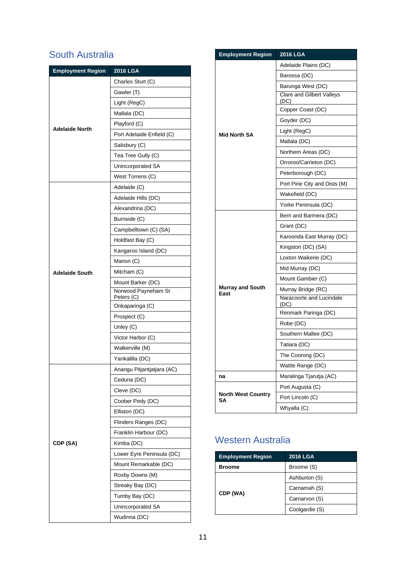#### South Australia

| <b>Employment Region</b> | 2016 LGA                          |
|--------------------------|-----------------------------------|
|                          | Charles Sturt (C)                 |
|                          | Gawler (T)                        |
|                          | Light (RegC)                      |
|                          | Mallala (DC)                      |
|                          | Playford (C)                      |
| <b>Adelaide North</b>    | Port Adelaide Enfield (C)         |
|                          | Salisbury (C)                     |
|                          | Tea Tree Gully (C)                |
|                          | Unincorporated SA                 |
|                          | West Torrens (C)                  |
|                          | Adelaide (C)                      |
|                          | Adelaide Hills (DC)               |
|                          | Alexandrina (DC)                  |
|                          | Burnside (C)                      |
|                          | Campbelltown (C) (SA)             |
|                          | Holdfast Bay (C)                  |
|                          | Kangaroo Island (DC)              |
|                          | Marion (C)                        |
| <b>Adelaide South</b>    | Mitcham (C)                       |
|                          | Mount Barker (DC)                 |
|                          | Norwood Payneham St<br>Peters (C) |
|                          | Onkaparinga (C)                   |
|                          | Prospect (C)                      |
|                          | Unley (C)                         |
|                          | Victor Harbor (C)                 |
|                          | Walkerville (M)                   |
|                          | Yankalilla (DC)                   |
|                          | Anangu Pitjantjatjara (AC)        |
|                          | Ceduna (DC)                       |
|                          | Cleve (DC)                        |
|                          | Coober Pedy (DC)                  |
|                          | Elliston (DC)                     |
|                          | Flinders Ranges (DC)              |
|                          | Franklin Harbour (DC)             |
| CDP (SA)                 | Kimba (DC)                        |
|                          | Lower Eyre Peninsula (DC)         |
|                          | Mount Remarkable (DC)             |
|                          | Roxby Downs (M)                   |
|                          | Streaky Bay (DC)                  |
|                          | Tumby Bay (DC)                    |
|                          | Unincorporated SA                 |
|                          | Wudinna (DC)                      |

| Adelaide Plains (DC)              |
|-----------------------------------|
| Barossa (DC)                      |
| Barunga West (DC)                 |
| Clare and Gilbert Valleys<br>(DC) |
| Copper Coast (DC)                 |
| Goyder (DC)                       |
| Light (RegC)                      |
| Mallala (DC)                      |
| Northern Areas (DC)               |
| Orroroo/Carrieton (DC)            |
| Peterborough (DC)                 |
| Port Pirie City and Dists (M)     |
| Wakefield (DC)                    |
| Yorke Peninsula (DC)              |
| Berri and Barmera (DC)            |
| Grant (DC)                        |
| Karoonda East Murray (DC)         |
| Kingston (DC) (SA)                |
| Loxton Waikerie (DC)              |
| Mid Murray (DC)                   |
| Mount Gambier (C)                 |
| Murray Bridge (RC)                |
| Naracoorte and Lucindale<br>(DC)  |
| Renmark Paringa (DC)              |
| Robe (DC)                         |
| Southern Mallee (DC)              |
| Tatiara (DC)                      |
| The Coorong (DC)                  |
| Wattle Range (DC)                 |
| Maralinga Tjarutja (AC)           |
| Port Augusta (C)                  |
| Port Lincoln (C)                  |
| Whyalla (C)                       |
|                                   |

## Western Australia

| <b>Employment Region</b> | <b>2016 LGA</b> |
|--------------------------|-----------------|
| Broome                   | Broome (S)      |
|                          | Ashburton (S)   |
|                          | Carnamah (S)    |
| CDP (WA)                 | Carnarvon (S)   |
|                          | Coolgardie (S)  |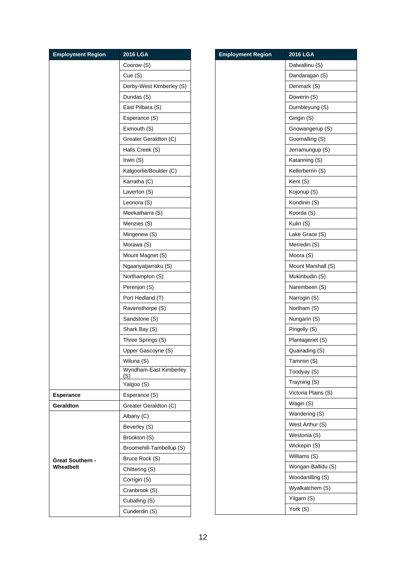| <b>Employment Region</b> | 2016 LGA                      |
|--------------------------|-------------------------------|
|                          | Coorow (S)                    |
|                          | Cue (S)                       |
|                          | Derby-West Kimberley (S)      |
|                          | Dundas (S)                    |
|                          | East Pilbara (S)              |
|                          | Esperance (S)                 |
|                          | Exmouth (S)                   |
|                          | Greater Geraldton (C)         |
|                          | Halls Creek (S)               |
|                          | Irwin (S)                     |
|                          | Kalgoorlie/Boulder (C)        |
|                          | Karratha (C)                  |
|                          | Laverton (S)                  |
|                          | Leonora (S)                   |
|                          | Meekatharra (S)               |
|                          | Menzies (S)                   |
|                          | Mingenew (S)                  |
|                          | Morawa (S)                    |
|                          | Mount Magnet (S)              |
|                          | Ngaanyatjarraku (S)           |
|                          | Northampton (S)               |
|                          | Perenjori (S)                 |
|                          | Port Hedland (T)              |
|                          | Ravensthorpe (S)              |
|                          | Sandstone (S)                 |
|                          | Shark Bay (S)                 |
|                          | Three Springs (S)             |
|                          | Upper Gascoyne (S)            |
|                          | Wiluna (S)                    |
|                          | Wyndham-East Kimberley<br>(S) |
|                          | Yalgoo (S)                    |
| <b>Esperance</b>         | Esperance (S)                 |
| Geraldton                | Greater Geraldton (C)         |
|                          | Albany (C)                    |
|                          | Beverley (S)                  |
|                          | Brookton (S)                  |
|                          | Broomehill-Tambellup (S)      |
| <b>Great Southern -</b>  | Bruce Rock (S)                |
| Wheatbelt                | Chittering (S)                |
|                          | Corrigin (S)                  |
|                          | Cranbrook (S)                 |
|                          | Cuballing (S)                 |
|                          | Cunderdin (S)                 |

| <b>Employment Region</b> | 2016 LGA            |
|--------------------------|---------------------|
|                          | Dalwallinu (S)      |
|                          | Dandaragan (S)      |
|                          | Denmark (S)         |
|                          | Dowerin (S)         |
|                          | Dumbleyung (S)      |
|                          | Gingin (S)          |
|                          | Gnowangerup (S)     |
|                          | Goomalling (S)      |
|                          | Jerramungup (S)     |
|                          | Katanning (S)       |
|                          | Kellerberrin (S)    |
|                          | Kent (S)            |
|                          | Kojonup (S)         |
|                          | Kondinin (S)        |
|                          | Koorda (S)          |
|                          | Kulin (S)           |
|                          | Lake Grace (S)      |
|                          | Merredin (S)        |
|                          | Moora (S)           |
|                          | Mount Marshall (S)  |
|                          | Mukinbudin (S)      |
|                          | Narembeen (S)       |
|                          | Narrogin (S)        |
|                          | Northam (S)         |
|                          | Nungarin (S)        |
|                          | Pingelly (S)        |
|                          | Plantagenet (S)     |
|                          | Quairading (S)      |
|                          | Tammin (S)          |
|                          | Toodyay (S)         |
|                          | Trayning (S)        |
|                          | Victoria Plains (S) |
|                          | Wagin (S)           |
|                          | Wandering (S)       |
|                          | West Arthur (S)     |
|                          | Westonia (S)        |
|                          | Wickepin (S)        |
|                          | Williams (S)        |
|                          | Wongan-Ballidu (S)  |
|                          | Woodanilling (S)    |
|                          | Wyalkatchem (S)     |
|                          | Yilgarn (S)         |
|                          | York (S)            |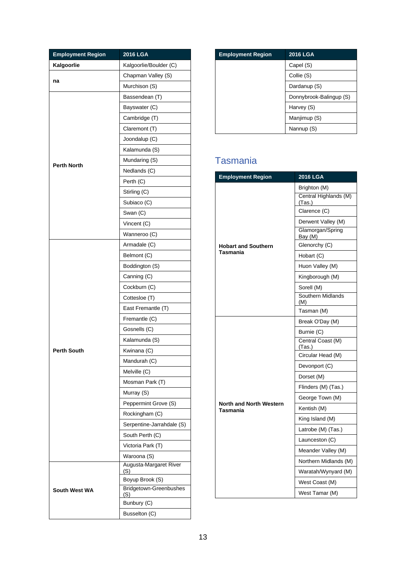| <b>Employment Region</b> | 2016 LGA                      |
|--------------------------|-------------------------------|
| Kalgoorlie               | Kalgoorlie/Boulder (C)        |
| na                       | Chapman Valley (S)            |
|                          | Murchison (S)                 |
|                          | Bassendean (T)                |
|                          | Bayswater (C)                 |
|                          | Cambridge (T)                 |
|                          | Claremont (T)                 |
|                          | Joondalup (C)                 |
|                          | Kalamunda (S)                 |
| <b>Perth North</b>       | Mundaring (S)                 |
|                          | Nedlands (C)                  |
|                          | Perth (C)                     |
|                          | Stirling (C)                  |
|                          | Subiaco (C)                   |
|                          | Swan (C)                      |
|                          | Vincent (C)                   |
|                          | Wanneroo (C)                  |
|                          | Armadale (C)                  |
|                          | Belmont (C)                   |
|                          | Boddington (S)                |
|                          | Canning (C)                   |
|                          | Cockburn (C)                  |
|                          | Cottesloe (T)                 |
|                          | East Fremantle (T)            |
|                          | Fremantle (C)                 |
|                          | Gosnells (C)                  |
|                          | Kalamunda (S)                 |
| <b>Perth South</b>       | Kwinana (C)                   |
|                          | Mandurah (C)                  |
|                          | Melville (C)                  |
|                          | Mosman Park (T)               |
|                          | Murray (S)                    |
|                          | Peppermint Grove (S)          |
|                          | Rockingham (C)                |
|                          | Serpentine-Jarrahdale (S)     |
|                          | South Perth (C)               |
|                          | Victoria Park (T)             |
|                          | Waroona (S)                   |
|                          | Augusta-Margaret River<br>(S) |
|                          | Boyup Brook (S)               |
| <b>South West WA</b>     | Bridgetown-Greenbushes<br>(S) |
|                          | Bunbury (C)                   |
|                          | Busselton (C)                 |

| <b>Employment Region</b> | <b>2016 LGA</b>         |
|--------------------------|-------------------------|
|                          | Capel (S)               |
|                          | Collie (S)              |
|                          | Dardanup (S)            |
|                          | Donnybrook-Balingup (S) |
|                          | Harvey (S)              |
|                          | Manjimup (S)            |
|                          | Nannup (S)              |

### Tasmania

| <b>Employment Region</b>       | 2016 LGA                        |
|--------------------------------|---------------------------------|
|                                | Brighton (M)                    |
|                                | Central Highlands (M)<br>(Tas.) |
|                                | Clarence (C)                    |
|                                | Derwent Valley (M)              |
|                                | Glamorgan/Spring<br>Bay (M)     |
| <b>Hobart and Southern</b>     | Glenorchy (C)                   |
| Tasmania                       | Hobart (C)                      |
|                                | Huon Valley (M)                 |
|                                | Kingborough (M)                 |
|                                | Sorell (M)                      |
|                                | Southern Midlands<br>(M)        |
|                                | Tasman (M)                      |
|                                | Break O'Day (M)                 |
|                                | Burnie (C)                      |
|                                | Central Coast (M)<br>(Tas.)     |
|                                | Circular Head (M)               |
|                                | Devonport (C)                   |
|                                | Dorset (M)                      |
|                                | Flinders (M) (Tas.)             |
| <b>North and North Western</b> | George Town (M)                 |
| Tasmania                       | Kentish (M)                     |
|                                | King Island (M)                 |
|                                | Latrobe (M) (Tas.)              |
|                                | Launceston (C)                  |
|                                | Meander Valley (M)              |
|                                | Northern Midlands (M)           |
|                                | Waratah/Wynyard (M)             |
|                                | West Coast (M)                  |
|                                | West Tamar (M)                  |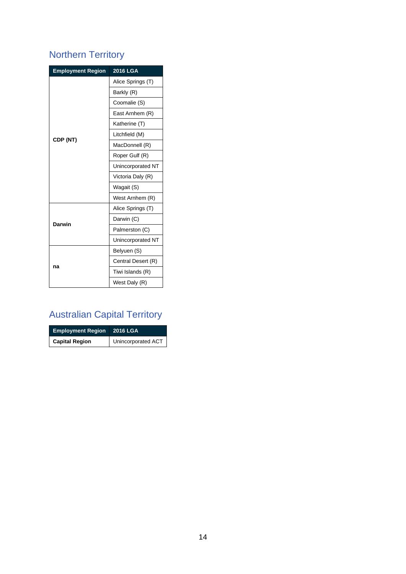## Northern Territory

| <b>Employment Region</b> | <b>2016 LGA</b>    |
|--------------------------|--------------------|
|                          | Alice Springs (T)  |
|                          | Barkly (R)         |
|                          | Coomalie (S)       |
|                          | East Arnhem (R)    |
|                          | Katherine (T)      |
|                          | Litchfield (M)     |
| CDP (NT)                 | MacDonnell (R)     |
|                          | Roper Gulf (R)     |
|                          | Unincorporated NT  |
|                          | Victoria Daly (R)  |
|                          | Wagait (S)         |
|                          | West Arnhem (R)    |
|                          | Alice Springs (T)  |
| Darwin                   | Darwin (C)         |
|                          | Palmerston (C)     |
|                          | Unincorporated NT  |
|                          | Belyuen (S)        |
| na                       | Central Desert (R) |
|                          | Tiwi Islands (R)   |
|                          | West Daly (R)      |

# Australian Capital Territory

| <b>Employment Region</b> 2016 LGA |                    |
|-----------------------------------|--------------------|
| <b>Capital Region</b>             | Unincorporated ACT |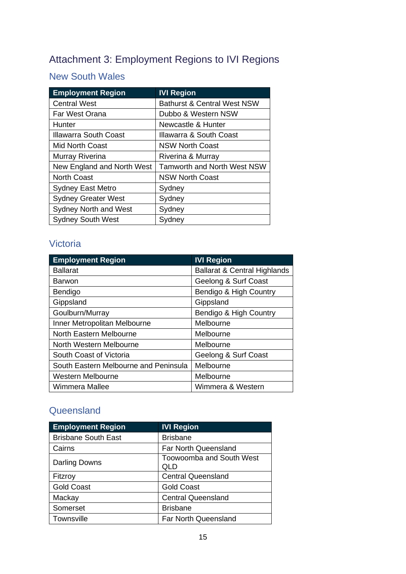## <span id="page-14-0"></span>Attachment 3: Employment Regions to IVI Regions

#### New South Wales

| <b>Employment Region</b>     | <b>IVI Region</b>                      |
|------------------------------|----------------------------------------|
| <b>Central West</b>          | <b>Bathurst &amp; Central West NSW</b> |
| Far West Orana               | Dubbo & Western NSW                    |
| Hunter                       | Newcastle & Hunter                     |
| <b>Illawarra South Coast</b> | Illawarra & South Coast                |
| <b>Mid North Coast</b>       | <b>NSW North Coast</b>                 |
| Murray Riverina              | Riverina & Murray                      |
| New England and North West   | <b>Tamworth and North West NSW</b>     |
| <b>North Coast</b>           | <b>NSW North Coast</b>                 |
| <b>Sydney East Metro</b>     | Sydney                                 |
| <b>Sydney Greater West</b>   | Sydney                                 |
| <b>Sydney North and West</b> | Sydney                                 |
| <b>Sydney South West</b>     | Sydney                                 |

#### Victoria

| <b>Employment Region</b>              | <b>IVI Region</b>                       |
|---------------------------------------|-----------------------------------------|
| <b>Ballarat</b>                       | <b>Ballarat &amp; Central Highlands</b> |
| Barwon                                | Geelong & Surf Coast                    |
| Bendigo                               | Bendigo & High Country                  |
| Gippsland                             | Gippsland                               |
| Goulburn/Murray                       | Bendigo & High Country                  |
| Inner Metropolitan Melbourne          | Melbourne                               |
| North Eastern Melbourne               | Melbourne                               |
| North Western Melbourne               | Melbourne                               |
| South Coast of Victoria               | Geelong & Surf Coast                    |
| South Eastern Melbourne and Peninsula | Melbourne                               |
| <b>Western Melbourne</b>              | Melbourne                               |
| Wimmera Mallee                        | Wimmera & Western                       |

#### **Queensland**

| <b>Employment Region</b>   | <b>IVI Region</b>                      |
|----------------------------|----------------------------------------|
| <b>Brisbane South East</b> | <b>Brisbane</b>                        |
| Cairns                     | <b>Far North Queensland</b>            |
| Darling Downs              | <b>Toowoomba and South West</b><br>QLD |
| Fitzroy                    | <b>Central Queensland</b>              |
| <b>Gold Coast</b>          | <b>Gold Coast</b>                      |
| Mackay                     | <b>Central Queensland</b>              |
| Somerset                   | <b>Brisbane</b>                        |
| Townsville                 | Far North Queensland                   |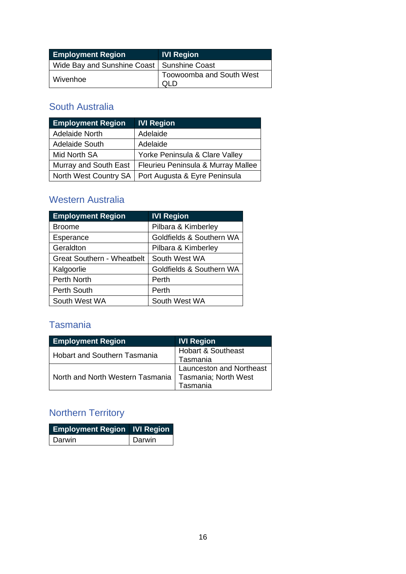| <b>Employment Region</b>                     | <b>IVI Region</b>               |
|----------------------------------------------|---------------------------------|
| Wide Bay and Sunshine Coast   Sunshine Coast |                                 |
| Wivenhoe                                     | <b>Toowoomba and South West</b> |

#### South Australia

| <b>Employment Region</b> | <b>IVI Region</b>                  |
|--------------------------|------------------------------------|
| <b>Adelaide North</b>    | Adelaide                           |
| Adelaide South           | Adelaide                           |
| Mid North SA             | Yorke Peninsula & Clare Valley     |
| Murray and South East    | Fleurieu Peninsula & Murray Mallee |
| North West Country SA    | Port Augusta & Eyre Peninsula      |

#### Western Australia

| <b>Employment Region</b>          | <b>IVI Region</b>        |
|-----------------------------------|--------------------------|
| <b>Broome</b>                     | Pilbara & Kimberley      |
| Esperance                         | Goldfields & Southern WA |
| Geraldton                         | Pilbara & Kimberley      |
| <b>Great Southern - Wheatbelt</b> | South West WA            |
| Kalgoorlie                        | Goldfields & Southern WA |
| Perth North                       | Perth                    |
| Perth South                       | Perth                    |
| South West WA                     | South West WA            |

#### Tasmania

| <b>Employment Region</b>            | <b>IVI Region</b>             |
|-------------------------------------|-------------------------------|
| <b>Hobart and Southern Tasmania</b> | <b>Hobart &amp; Southeast</b> |
|                                     | Tasmania                      |
| North and North Western Tasmania    | Launceston and Northeast      |
|                                     | Tasmania; North West          |
|                                     | Tasmania                      |

## Northern Territory

| <b>Employment Region IVI Region</b> |        |
|-------------------------------------|--------|
| l Darwin.                           | Darwin |